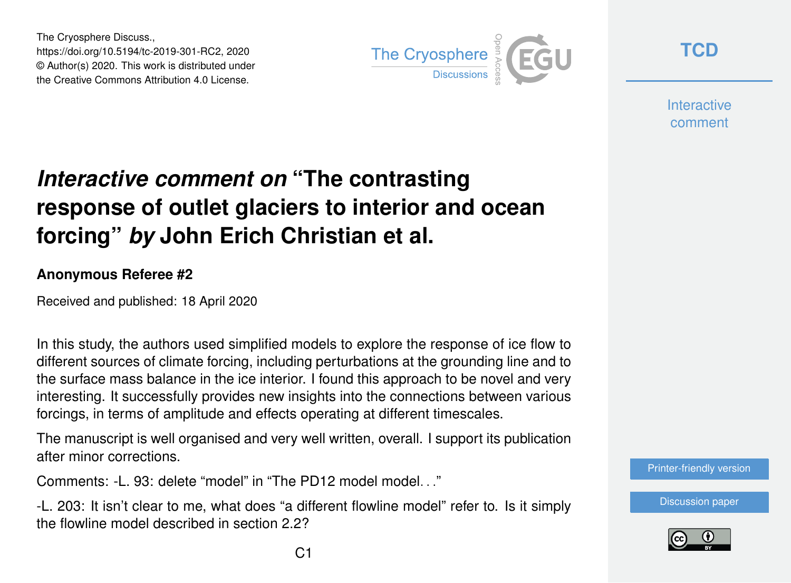The Cryosphere Discuss., https://doi.org/10.5194/tc-2019-301-RC2, 2020 © Author(s) 2020. This work is distributed under the Creative Commons Attribution 4.0 License.



**[TCD](https://www.the-cryosphere-discuss.net/)**

**Interactive** comment

## *Interactive comment on* **"The contrasting response of outlet glaciers to interior and ocean forcing"** *by* **John Erich Christian et al.**

## **Anonymous Referee #2**

Received and published: 18 April 2020

In this study, the authors used simplified models to explore the response of ice flow to different sources of climate forcing, including perturbations at the grounding line and to the surface mass balance in the ice interior. I found this approach to be novel and very interesting. It successfully provides new insights into the connections between various forcings, in terms of amplitude and effects operating at different timescales.

The manuscript is well organised and very well written, overall. I support its publication after minor corrections.

Comments: -L. 93: delete "model" in "The PD12 model model. "

-L. 203: It isn't clear to me, what does "a different flowline model" refer to. Is it simply the flowline model described in section 2.2?

[Printer-friendly version](https://www.the-cryosphere-discuss.net/tc-2019-301/tc-2019-301-RC2-print.pdf)

[Discussion paper](https://www.the-cryosphere-discuss.net/tc-2019-301)